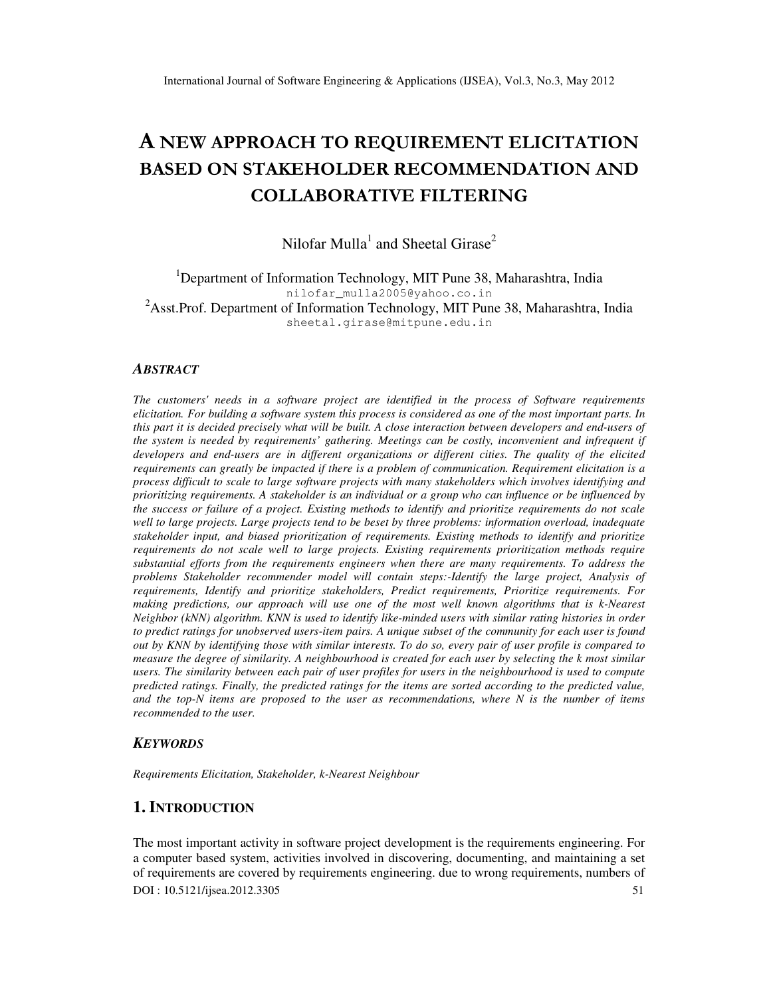# A NEW APPROACH TO REQUIREMENT ELICITATION BASED ON STAKEHOLDER RECOMMENDATION AND COLLABORATIVE FILTERING

Nilofar Mulla<sup>1</sup> and Sheetal Girase<sup>2</sup>

<sup>1</sup>Department of Information Technology, MIT Pune 38, Maharashtra, India nilofar\_mulla2005@yahoo.co.in <sup>2</sup>Asst.Prof. Department of Information Technology, MIT Pune 38, Maharashtra, India sheetal.girase@mitpune.edu.in

#### *ABSTRACT*

*The customers' needs in a software project are identified in the process of Software requirements elicitation. For building a software system this process is considered as one of the most important parts. In this part it is decided precisely what will be built. A close interaction between developers and end-users of the system is needed by requirements' gathering. Meetings can be costly, inconvenient and infrequent if developers and end-users are in different organizations or different cities. The quality of the elicited requirements can greatly be impacted if there is a problem of communication. Requirement elicitation is a process difficult to scale to large software projects with many stakeholders which involves identifying and prioritizing requirements. A stakeholder is an individual or a group who can influence or be influenced by the success or failure of a project. Existing methods to identify and prioritize requirements do not scale well to large projects. Large projects tend to be beset by three problems: information overload, inadequate stakeholder input, and biased prioritization of requirements. Existing methods to identify and prioritize requirements do not scale well to large projects. Existing requirements prioritization methods require substantial efforts from the requirements engineers when there are many requirements. To address the problems Stakeholder recommender model will contain steps:-Identify the large project, Analysis of requirements, Identify and prioritize stakeholders, Predict requirements, Prioritize requirements. For making predictions, our approach will use one of the most well known algorithms that is k-Nearest Neighbor (kNN) algorithm. KNN is used to identify like-minded users with similar rating histories in order to predict ratings for unobserved users-item pairs. A unique subset of the community for each user is found out by KNN by identifying those with similar interests. To do so, every pair of user profile is compared to measure the degree of similarity. A neighbourhood is created for each user by selecting the k most similar*  users. The similarity between each pair of user profiles for users in the neighbourhood is used to compute *predicted ratings. Finally, the predicted ratings for the items are sorted according to the predicted value, and the top-N items are proposed to the user as recommendations, where N is the number of items recommended to the user.* 

#### *KEYWORDS*

*Requirements Elicitation, Stakeholder, k-Nearest Neighbour* 

# **1. INTRODUCTION**

DOI : 10.5121/ijsea.2012.3305 51 The most important activity in software project development is the requirements engineering. For a computer based system, activities involved in discovering, documenting, and maintaining a set of requirements are covered by requirements engineering. due to wrong requirements, numbers of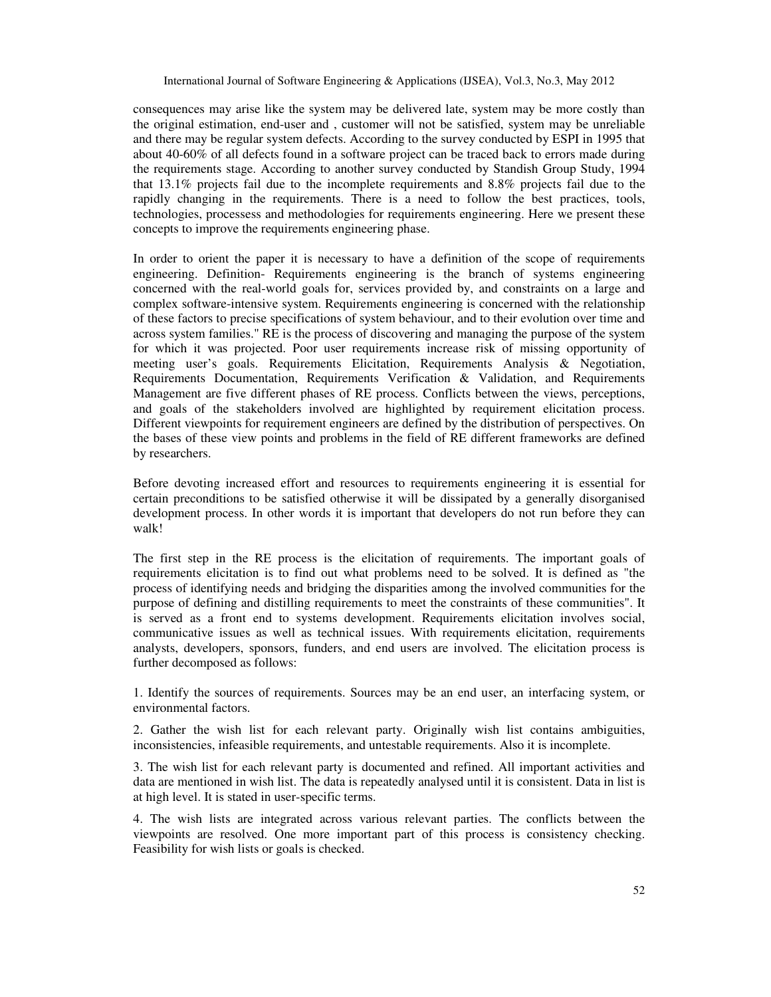consequences may arise like the system may be delivered late, system may be more costly than the original estimation, end-user and , customer will not be satisfied, system may be unreliable and there may be regular system defects. According to the survey conducted by ESPI in 1995 that about 40-60% of all defects found in a software project can be traced back to errors made during the requirements stage. According to another survey conducted by Standish Group Study, 1994 that 13.1% projects fail due to the incomplete requirements and 8.8% projects fail due to the rapidly changing in the requirements. There is a need to follow the best practices, tools, technologies, processess and methodologies for requirements engineering. Here we present these concepts to improve the requirements engineering phase.

In order to orient the paper it is necessary to have a definition of the scope of requirements engineering. Definition- Requirements engineering is the branch of systems engineering concerned with the real-world goals for, services provided by, and constraints on a large and complex software-intensive system. Requirements engineering is concerned with the relationship of these factors to precise specifications of system behaviour, and to their evolution over time and across system families." RE is the process of discovering and managing the purpose of the system for which it was projected. Poor user requirements increase risk of missing opportunity of meeting user's goals. Requirements Elicitation, Requirements Analysis & Negotiation, Requirements Documentation, Requirements Verification & Validation, and Requirements Management are five different phases of RE process. Conflicts between the views, perceptions, and goals of the stakeholders involved are highlighted by requirement elicitation process. Different viewpoints for requirement engineers are defined by the distribution of perspectives. On the bases of these view points and problems in the field of RE different frameworks are defined by researchers.

Before devoting increased effort and resources to requirements engineering it is essential for certain preconditions to be satisfied otherwise it will be dissipated by a generally disorganised development process. In other words it is important that developers do not run before they can walk!

The first step in the RE process is the elicitation of requirements. The important goals of requirements elicitation is to find out what problems need to be solved. It is defined as "the process of identifying needs and bridging the disparities among the involved communities for the purpose of defining and distilling requirements to meet the constraints of these communities". It is served as a front end to systems development. Requirements elicitation involves social, communicative issues as well as technical issues. With requirements elicitation, requirements analysts, developers, sponsors, funders, and end users are involved. The elicitation process is further decomposed as follows:

1. Identify the sources of requirements. Sources may be an end user, an interfacing system, or environmental factors.

2. Gather the wish list for each relevant party. Originally wish list contains ambiguities, inconsistencies, infeasible requirements, and untestable requirements. Also it is incomplete.

3. The wish list for each relevant party is documented and refined. All important activities and data are mentioned in wish list. The data is repeatedly analysed until it is consistent. Data in list is at high level. It is stated in user-specific terms.

4. The wish lists are integrated across various relevant parties. The conflicts between the viewpoints are resolved. One more important part of this process is consistency checking. Feasibility for wish lists or goals is checked.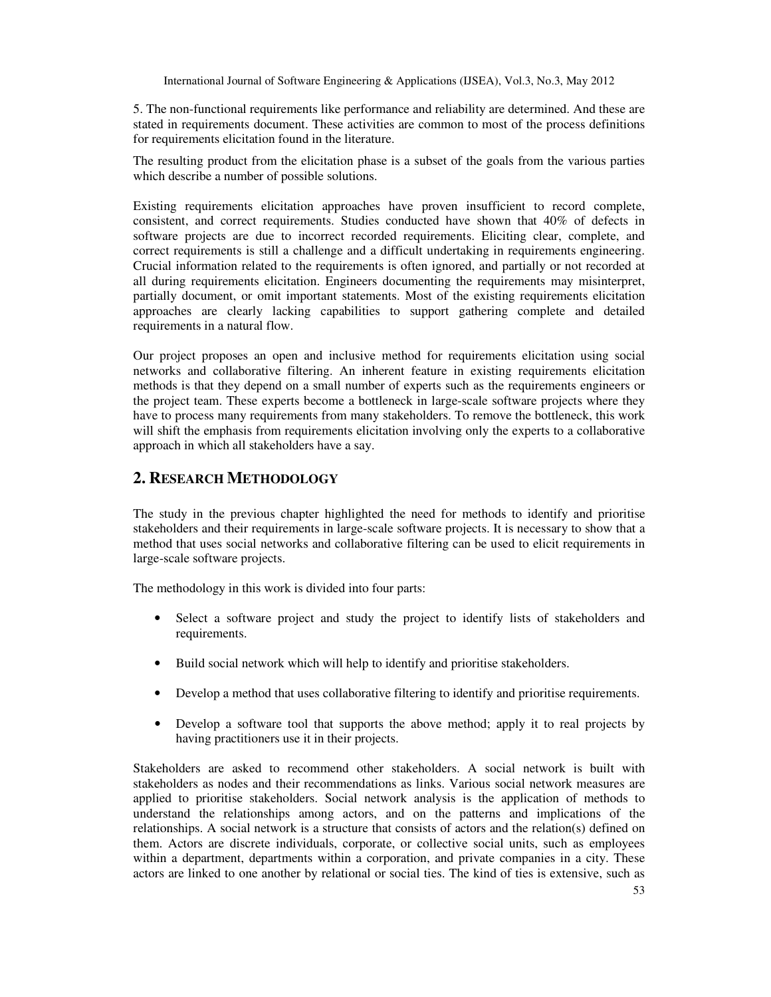5. The non-functional requirements like performance and reliability are determined. And these are stated in requirements document. These activities are common to most of the process definitions for requirements elicitation found in the literature.

The resulting product from the elicitation phase is a subset of the goals from the various parties which describe a number of possible solutions.

Existing requirements elicitation approaches have proven insufficient to record complete, consistent, and correct requirements. Studies conducted have shown that 40% of defects in software projects are due to incorrect recorded requirements. Eliciting clear, complete, and correct requirements is still a challenge and a difficult undertaking in requirements engineering. Crucial information related to the requirements is often ignored, and partially or not recorded at all during requirements elicitation. Engineers documenting the requirements may misinterpret, partially document, or omit important statements. Most of the existing requirements elicitation approaches are clearly lacking capabilities to support gathering complete and detailed requirements in a natural flow.

Our project proposes an open and inclusive method for requirements elicitation using social networks and collaborative filtering. An inherent feature in existing requirements elicitation methods is that they depend on a small number of experts such as the requirements engineers or the project team. These experts become a bottleneck in large-scale software projects where they have to process many requirements from many stakeholders. To remove the bottleneck, this work will shift the emphasis from requirements elicitation involving only the experts to a collaborative approach in which all stakeholders have a say.

# **2. RESEARCH METHODOLOGY**

The study in the previous chapter highlighted the need for methods to identify and prioritise stakeholders and their requirements in large-scale software projects. It is necessary to show that a method that uses social networks and collaborative filtering can be used to elicit requirements in large-scale software projects.

The methodology in this work is divided into four parts:

- Select a software project and study the project to identify lists of stakeholders and requirements.
- Build social network which will help to identify and prioritise stakeholders.
- Develop a method that uses collaborative filtering to identify and prioritise requirements.
- Develop a software tool that supports the above method; apply it to real projects by having practitioners use it in their projects.

Stakeholders are asked to recommend other stakeholders. A social network is built with stakeholders as nodes and their recommendations as links. Various social network measures are applied to prioritise stakeholders. Social network analysis is the application of methods to understand the relationships among actors, and on the patterns and implications of the relationships. A social network is a structure that consists of actors and the relation(s) defined on them. Actors are discrete individuals, corporate, or collective social units, such as employees within a department, departments within a corporation, and private companies in a city. These actors are linked to one another by relational or social ties. The kind of ties is extensive, such as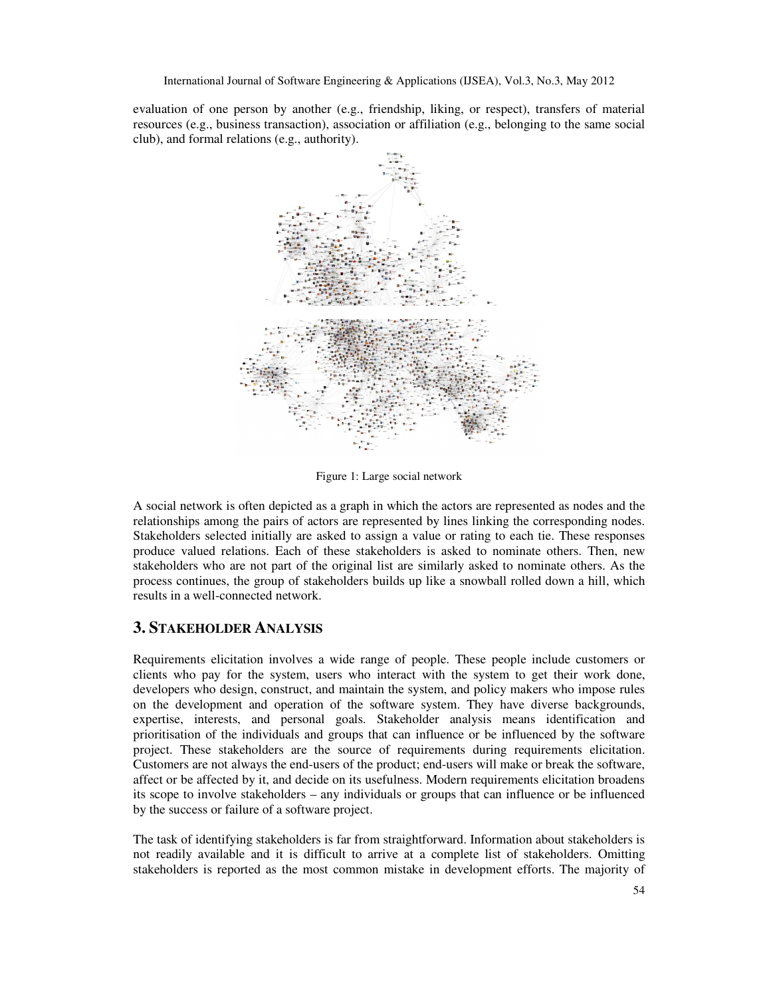evaluation of one person by another (e.g., friendship, liking, or respect), transfers of material resources (e.g., business transaction), association or affiliation (e.g., belonging to the same social club), and formal relations (e.g., authority).



Figure 1: Large social network

A social network is often depicted as a graph in which the actors are represented as nodes and the relationships among the pairs of actors are represented by lines linking the corresponding nodes. Stakeholders selected initially are asked to assign a value or rating to each tie. These responses produce valued relations. Each of these stakeholders is asked to nominate others. Then, new stakeholders who are not part of the original list are similarly asked to nominate others. As the process continues, the group of stakeholders builds up like a snowball rolled down a hill, which results in a well-connected network.

## **3. STAKEHOLDER ANALYSIS**

Requirements elicitation involves a wide range of people. These people include customers or clients who pay for the system, users who interact with the system to get their work done, developers who design, construct, and maintain the system, and policy makers who impose rules on the development and operation of the software system. They have diverse backgrounds, expertise, interests, and personal goals. Stakeholder analysis means identification and prioritisation of the individuals and groups that can influence or be influenced by the software project. These stakeholders are the source of requirements during requirements elicitation. Customers are not always the end-users of the product; end-users will make or break the software, affect or be affected by it, and decide on its usefulness. Modern requirements elicitation broadens its scope to involve stakeholders – any individuals or groups that can influence or be influenced by the success or failure of a software project.

The task of identifying stakeholders is far from straightforward. Information about stakeholders is not readily available and it is difficult to arrive at a complete list of stakeholders. Omitting stakeholders is reported as the most common mistake in development efforts. The majority of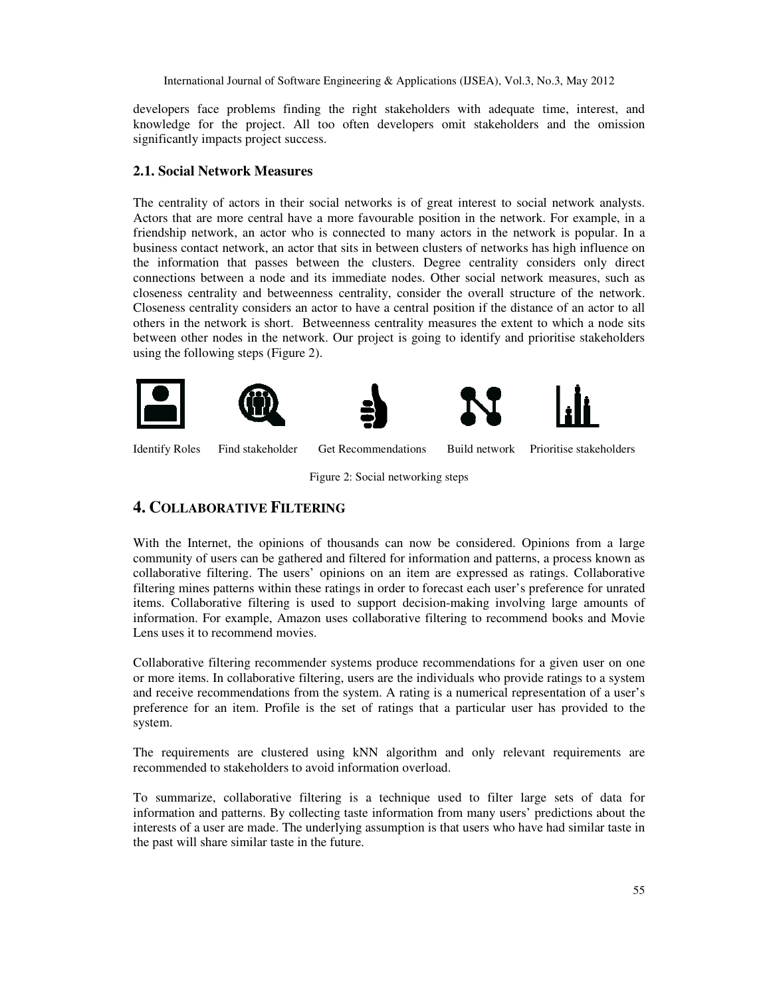developers face problems finding the right stakeholders with adequate time, interest, and knowledge for the project. All too often developers omit stakeholders and the omission significantly impacts project success.

#### **2.1. Social Network Measures**

The centrality of actors in their social networks is of great interest to social network analysts. Actors that are more central have a more favourable position in the network. For example, in a friendship network, an actor who is connected to many actors in the network is popular. In a business contact network, an actor that sits in between clusters of networks has high influence on the information that passes between the clusters. Degree centrality considers only direct connections between a node and its immediate nodes. Other social network measures, such as closeness centrality and betweenness centrality, consider the overall structure of the network. Closeness centrality considers an actor to have a central position if the distance of an actor to all others in the network is short. Betweenness centrality measures the extent to which a node sits between other nodes in the network. Our project is going to identify and prioritise stakeholders using the following steps (Figure 2).







Identify Roles Find stakeholder Get Recommendations Build network Prioritise stakeholders

Figure 2: Social networking steps

# **4. COLLABORATIVE FILTERING**

With the Internet, the opinions of thousands can now be considered. Opinions from a large community of users can be gathered and filtered for information and patterns, a process known as collaborative filtering. The users' opinions on an item are expressed as ratings. Collaborative filtering mines patterns within these ratings in order to forecast each user's preference for unrated items. Collaborative filtering is used to support decision-making involving large amounts of information. For example, Amazon uses collaborative filtering to recommend books and Movie Lens uses it to recommend movies.

Collaborative filtering recommender systems produce recommendations for a given user on one or more items. In collaborative filtering, users are the individuals who provide ratings to a system and receive recommendations from the system. A rating is a numerical representation of a user's preference for an item. Profile is the set of ratings that a particular user has provided to the system.

The requirements are clustered using kNN algorithm and only relevant requirements are recommended to stakeholders to avoid information overload.

To summarize, collaborative filtering is a technique used to filter large sets of data for information and patterns. By collecting taste information from many users' predictions about the interests of a user are made. The underlying assumption is that users who have had similar taste in the past will share similar taste in the future.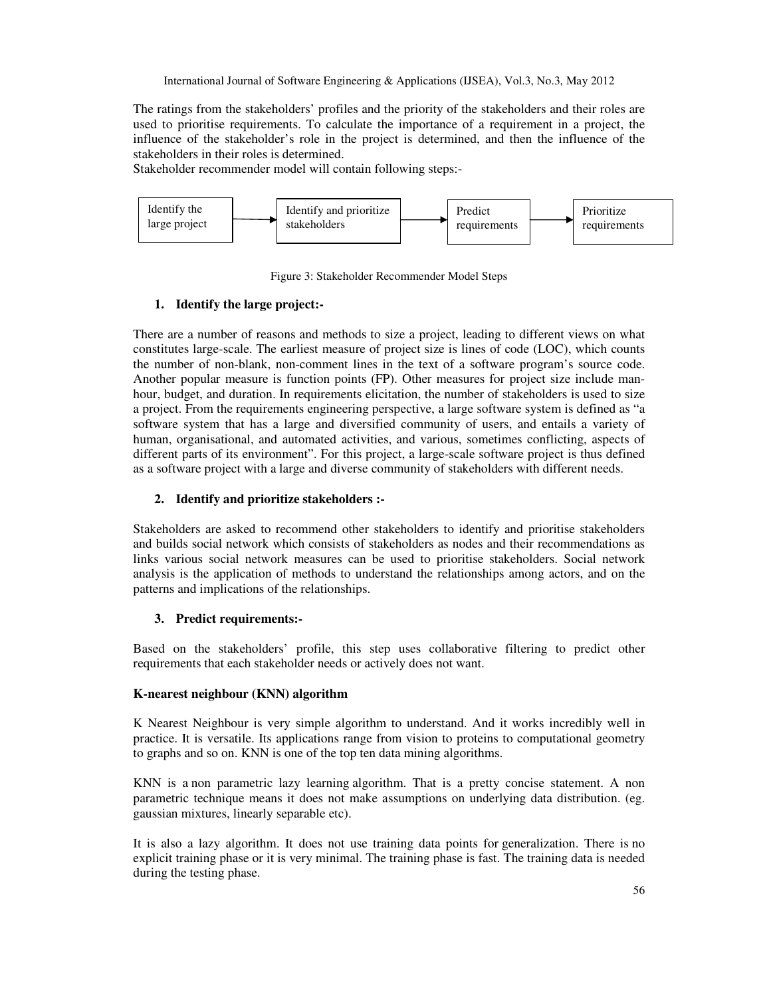The ratings from the stakeholders' profiles and the priority of the stakeholders and their roles are used to prioritise requirements. To calculate the importance of a requirement in a project, the influence of the stakeholder's role in the project is determined, and then the influence of the stakeholders in their roles is determined.

Stakeholder recommender model will contain following steps:-



Figure 3: Stakeholder Recommender Model Steps

### **1. Identify the large project:-**

There are a number of reasons and methods to size a project, leading to different views on what constitutes large-scale. The earliest measure of project size is lines of code (LOC), which counts the number of non-blank, non-comment lines in the text of a software program's source code. Another popular measure is function points (FP). Other measures for project size include manhour, budget, and duration. In requirements elicitation, the number of stakeholders is used to size a project. From the requirements engineering perspective, a large software system is defined as "a software system that has a large and diversified community of users, and entails a variety of human, organisational, and automated activities, and various, sometimes conflicting, aspects of different parts of its environment". For this project, a large-scale software project is thus defined as a software project with a large and diverse community of stakeholders with different needs.

## **2. Identify and prioritize stakeholders :-**

Stakeholders are asked to recommend other stakeholders to identify and prioritise stakeholders and builds social network which consists of stakeholders as nodes and their recommendations as links various social network measures can be used to prioritise stakeholders. Social network analysis is the application of methods to understand the relationships among actors, and on the patterns and implications of the relationships.

### **3. Predict requirements:-**

Based on the stakeholders' profile, this step uses collaborative filtering to predict other requirements that each stakeholder needs or actively does not want.

### **K-nearest neighbour (KNN) algorithm**

K Nearest Neighbour is very simple algorithm to understand. And it works incredibly well in practice. It is versatile. Its applications range from vision to proteins to computational geometry to graphs and so on. KNN is one of the top ten data mining algorithms.

KNN is a non parametric lazy learning algorithm. That is a pretty concise statement. A non parametric technique means it does not make assumptions on underlying data distribution. (eg. gaussian mixtures, linearly separable etc).

It is also a lazy algorithm. It does not use training data points for generalization. There is no explicit training phase or it is very minimal. The training phase is fast. The training data is needed during the testing phase.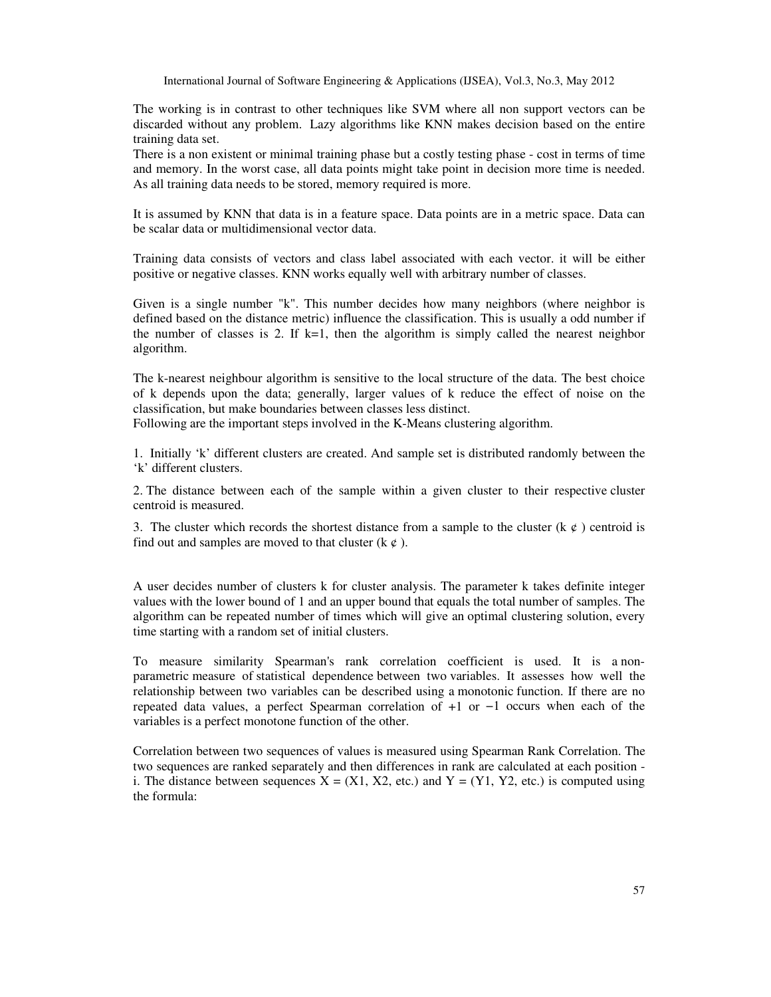The working is in contrast to other techniques like SVM where all non support vectors can be discarded without any problem. Lazy algorithms like KNN makes decision based on the entire training data set.

There is a non existent or minimal training phase but a costly testing phase - cost in terms of time and memory. In the worst case, all data points might take point in decision more time is needed. As all training data needs to be stored, memory required is more.

It is assumed by KNN that data is in a feature space. Data points are in a metric space. Data can be scalar data or multidimensional vector data.

Training data consists of vectors and class label associated with each vector. it will be either positive or negative classes. KNN works equally well with arbitrary number of classes.

Given is a single number "k". This number decides how many neighbors (where neighbor is defined based on the distance metric) influence the classification. This is usually a odd number if the number of classes is 2. If  $k=1$ , then the algorithm is simply called the nearest neighbor algorithm.

The k-nearest neighbour algorithm is sensitive to the local structure of the data. The best choice of k depends upon the data; generally, larger values of k reduce the effect of noise on the classification, but make boundaries between classes less distinct.

Following are the important steps involved in the K-Means clustering algorithm.

1. Initially 'k' different clusters are created. And sample set is distributed randomly between the 'k' different clusters.

2. The distance between each of the sample within a given cluster to their respective cluster centroid is measured.

3. The cluster which records the shortest distance from a sample to the cluster (k  $\varphi$ ) centroid is find out and samples are moved to that cluster  $(k \phi)$ .

A user decides number of clusters k for cluster analysis. The parameter k takes definite integer values with the lower bound of 1 and an upper bound that equals the total number of samples. The algorithm can be repeated number of times which will give an optimal clustering solution, every time starting with a random set of initial clusters.

To measure similarity Spearman's rank correlation coefficient is used. It is a nonparametric measure of statistical dependence between two variables. It assesses how well the relationship between two variables can be described using a monotonic function. If there are no repeated data values, a perfect Spearman correlation of +1 or −1 occurs when each of the variables is a perfect monotone function of the other.

Correlation between two sequences of values is measured using Spearman Rank Correlation. The two sequences are ranked separately and then differences in rank are calculated at each position i. The distance between sequences  $X = (X1, X2, etc.)$  and  $Y = (Y1, Y2, etc.)$  is computed using the formula: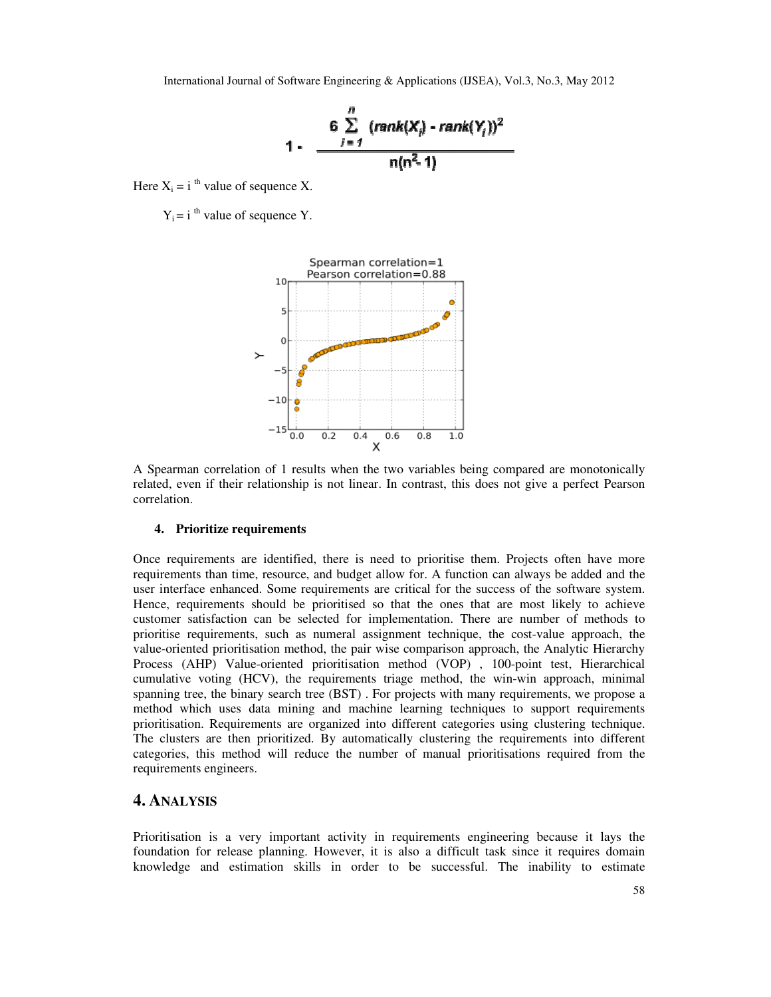

Here  $X_i = i$ <sup>th</sup> value of sequence X.

 $Y_i = i$ <sup>th</sup> value of sequence Y.



A Spearman correlation of 1 results when the two variables being compared are monotonically related, even if their relationship is not linear. In contrast, this does not give a perfect Pearson correlation.

#### **4. Prioritize requirements**

Once requirements are identified, there is need to prioritise them. Projects often have more requirements than time, resource, and budget allow for. A function can always be added and the user interface enhanced. Some requirements are critical for the success of the software system. Hence, requirements should be prioritised so that the ones that are most likely to achieve customer satisfaction can be selected for implementation. There are number of methods to prioritise requirements, such as numeral assignment technique, the cost-value approach, the value-oriented prioritisation method, the pair wise comparison approach, the Analytic Hierarchy Process (AHP) Value-oriented prioritisation method (VOP) , 100-point test, Hierarchical cumulative voting (HCV), the requirements triage method, the win-win approach, minimal spanning tree, the binary search tree (BST) . For projects with many requirements, we propose a method which uses data mining and machine learning techniques to support requirements prioritisation. Requirements are organized into different categories using clustering technique. The clusters are then prioritized. By automatically clustering the requirements into different categories, this method will reduce the number of manual prioritisations required from the requirements engineers.

#### **4. ANALYSIS**

Prioritisation is a very important activity in requirements engineering because it lays the foundation for release planning. However, it is also a difficult task since it requires domain knowledge and estimation skills in order to be successful. The inability to estimate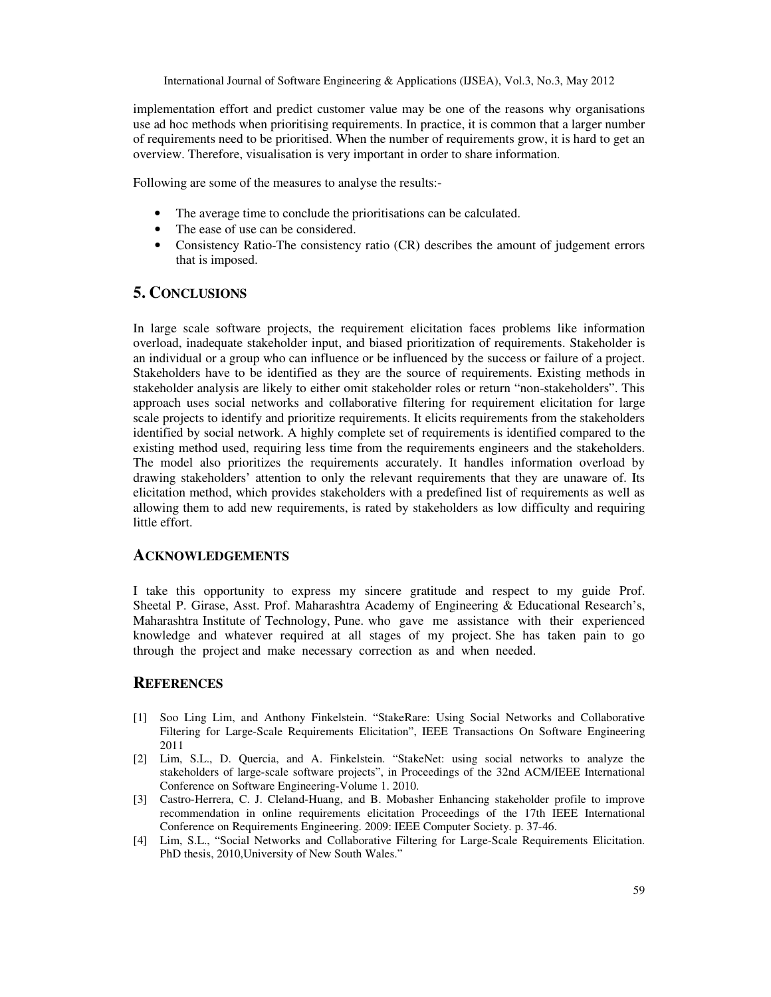implementation effort and predict customer value may be one of the reasons why organisations use ad hoc methods when prioritising requirements. In practice, it is common that a larger number of requirements need to be prioritised. When the number of requirements grow, it is hard to get an overview. Therefore, visualisation is very important in order to share information.

Following are some of the measures to analyse the results:-

- The average time to conclude the prioritisations can be calculated.
- The ease of use can be considered.
- Consistency Ratio-The consistency ratio (CR) describes the amount of judgement errors that is imposed.

# **5. CONCLUSIONS**

In large scale software projects, the requirement elicitation faces problems like information overload, inadequate stakeholder input, and biased prioritization of requirements. Stakeholder is an individual or a group who can influence or be influenced by the success or failure of a project. Stakeholders have to be identified as they are the source of requirements. Existing methods in stakeholder analysis are likely to either omit stakeholder roles or return "non-stakeholders". This approach uses social networks and collaborative filtering for requirement elicitation for large scale projects to identify and prioritize requirements. It elicits requirements from the stakeholders identified by social network. A highly complete set of requirements is identified compared to the existing method used, requiring less time from the requirements engineers and the stakeholders. The model also prioritizes the requirements accurately. It handles information overload by drawing stakeholders' attention to only the relevant requirements that they are unaware of. Its elicitation method, which provides stakeholders with a predefined list of requirements as well as allowing them to add new requirements, is rated by stakeholders as low difficulty and requiring little effort.

## **ACKNOWLEDGEMENTS**

I take this opportunity to express my sincere gratitude and respect to my guide Prof. Sheetal P. Girase, Asst. Prof. Maharashtra Academy of Engineering & Educational Research's, Maharashtra Institute of Technology, Pune. who gave me assistance with their experienced knowledge and whatever required at all stages of my project. She has taken pain to go through the project and make necessary correction as and when needed.

#### **REFERENCES**

- [1] Soo Ling Lim, and Anthony Finkelstein. "StakeRare: Using Social Networks and Collaborative Filtering for Large-Scale Requirements Elicitation", IEEE Transactions On Software Engineering 2011
- [2] Lim, S.L., D. Quercia, and A. Finkelstein. "StakeNet: using social networks to analyze the stakeholders of large-scale software projects", in Proceedings of the 32nd ACM/IEEE International Conference on Software Engineering-Volume 1. 2010.
- [3] Castro-Herrera, C. J. Cleland-Huang, and B. Mobasher Enhancing stakeholder profile to improve recommendation in online requirements elicitation Proceedings of the 17th IEEE International Conference on Requirements Engineering. 2009: IEEE Computer Society. p. 37-46.
- [4] Lim, S.L., "Social Networks and Collaborative Filtering for Large-Scale Requirements Elicitation. PhD thesis, 2010,University of New South Wales."